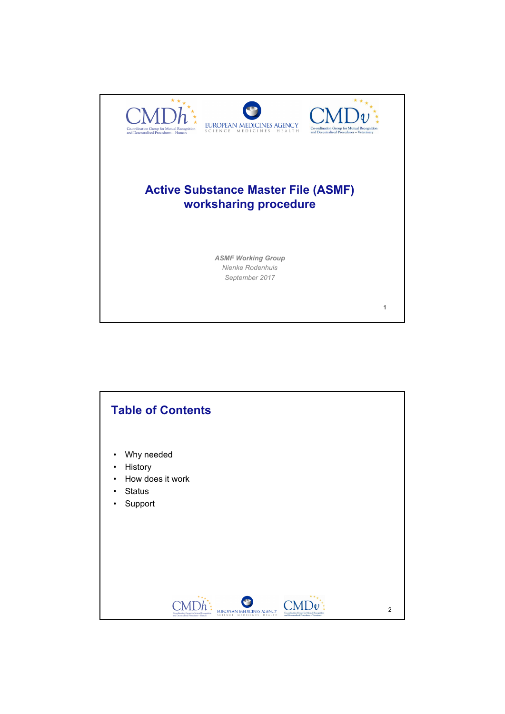

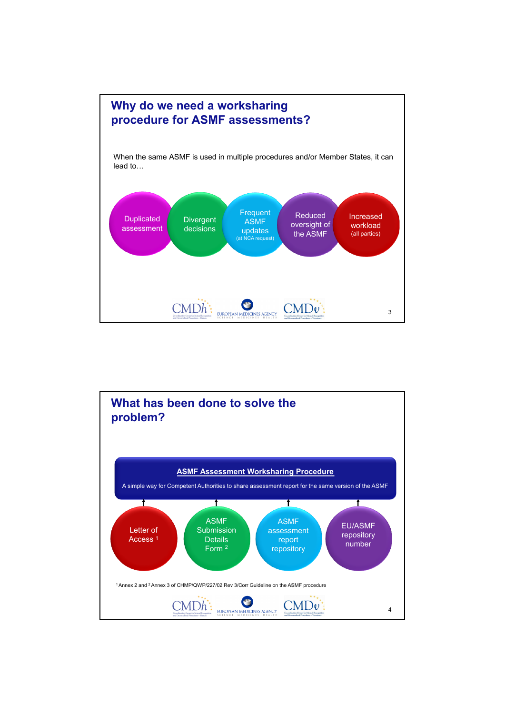

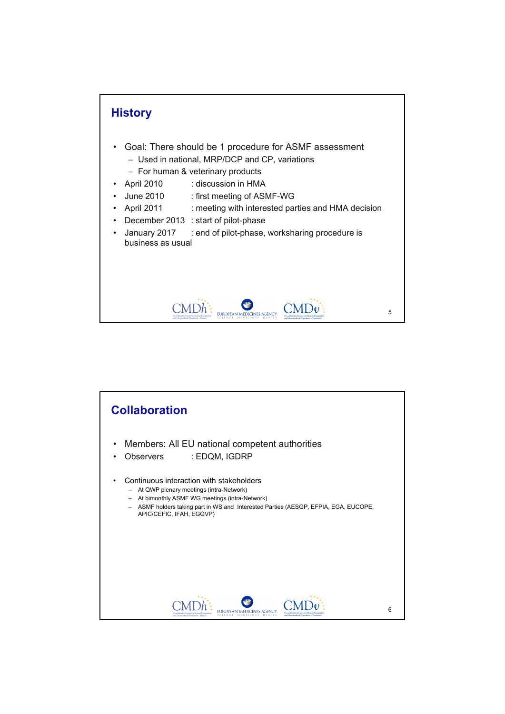

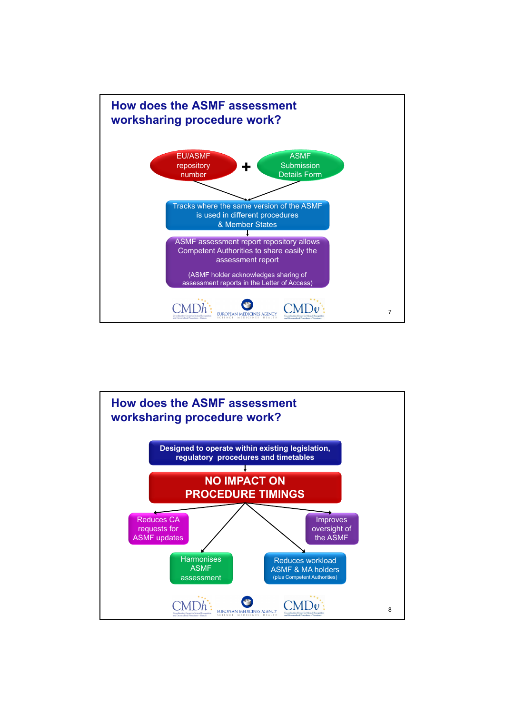

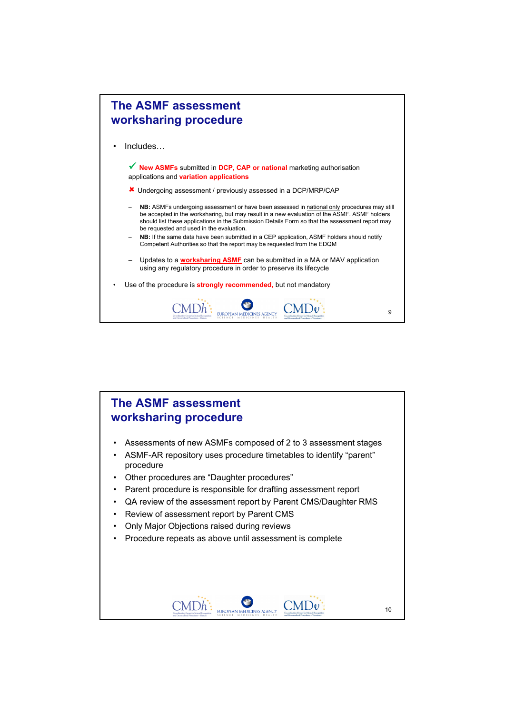

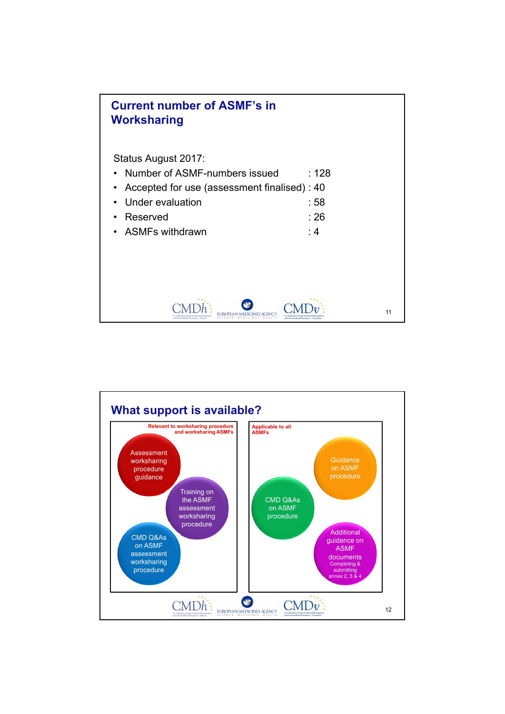